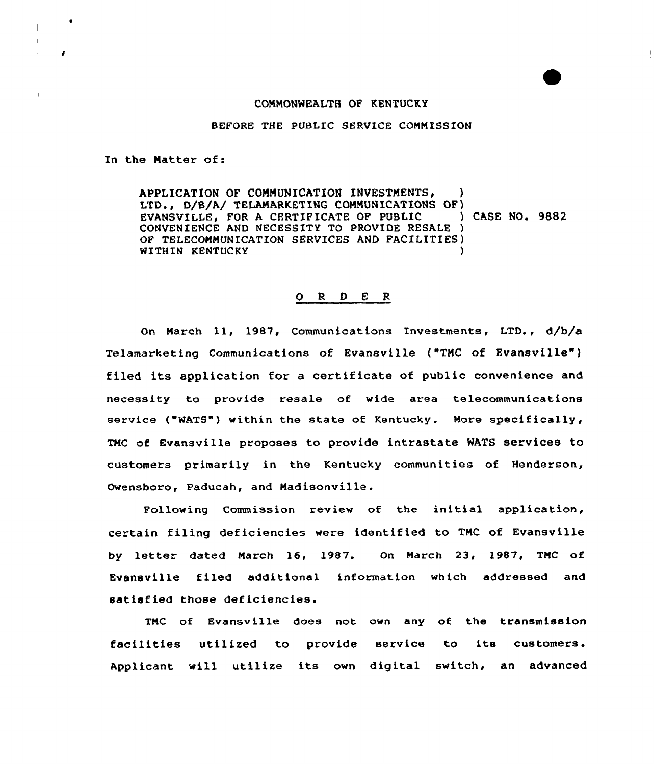## COMMONWEALTH OF KENTUCKY

BEFORE THE PUBLIC SERVICE CONN ISSION

In the Natter of:

APPLICATION OF COMMUNICATION INVESTMENTS, LTD., D/B/A/ TELAMARKETING COMMUNICATIONS OF)<br>EVANSVILLE. FOR A CERTIFICATE OF PUBLIC (300) CASE NO. 9882 EVANSVILLE, FOR A CERTIFICATE OF PUBLIC CONVENIENCE AND NECESSITY TO PROVIDE RESALE ) OF TELECOMMUNICATION SERVICES AND FACILITIES) WITHIN KENTUCKY

## 0 <sup>R</sup> <sup>D</sup> <sup>E</sup> <sup>R</sup>

On Narch 11, 1987, Communications Investments, I.TD., d/b/a Telamarketing Communications of Evansville ("TMC of Evansville" ) filed its application fox a certificate of public convenience and necessity to provide resale of wide area telecommunications service ("WATS") within the state of Kentucky. More specifically, TMC of Evansville proposes to provide intrastate MATS services to customers primarily in the Kentucky communities of Henderson, Owensboro, Paducah, and Madisonville.

Following Commission review of the initial application, certain filing deficiencies were identified to TMC of Evansville by letter dated March 16, 1987. On March 23, 1987, TNC of Evansville filed additional information which addressed and satisfied those deficiencies.

TNC of Evansville does not own any of the transmission facilities utilized to provide service to its customers. Applicant will utilize its own digital switch, an advanced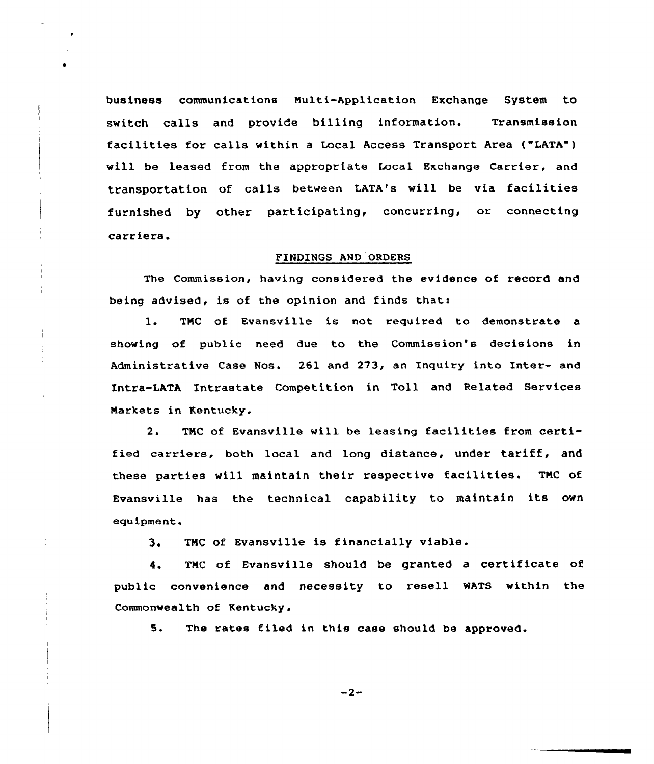business communications Multi-Application Exchange System to switch calls and provide billing information. Transmission facilities for calls within <sup>a</sup> Local Access Transport Area ("LATA") will be leased from the appropriate Local Exchange Carrier, and transportation of calls between LATA's will be via facilities furnished by other participating, concurring, or connecting carriers.

## FINDINGS AND ORDERS

The Commission, having considered the evidence of record and being advised, is of the opinion and finds that:

1. TMC of Evansville is not required to demonstrate a showing of public need due to the Commission's decisions in Administrative Case Nos. 261 and 273, an Inquiry into Inter- and Intra-LATA Intrastate Competition in Toll and Related Services Markets in Kentucky.

2. TNC of Evansville will be leasing facilities from certified carriers, both local and long distance, under tariff, and these parties vill maintain their respective facilities. TNC of Evansville has the technical capability to maintain its own equipment.

3. TNC of Evansville is financially viable.

4. TNC of Evansville should be granted a certificate of public convenience and necessity to resell WATS within the Commonwealth of Kentucky.

5. The rates filed in this case should be approved.

 $-2-$